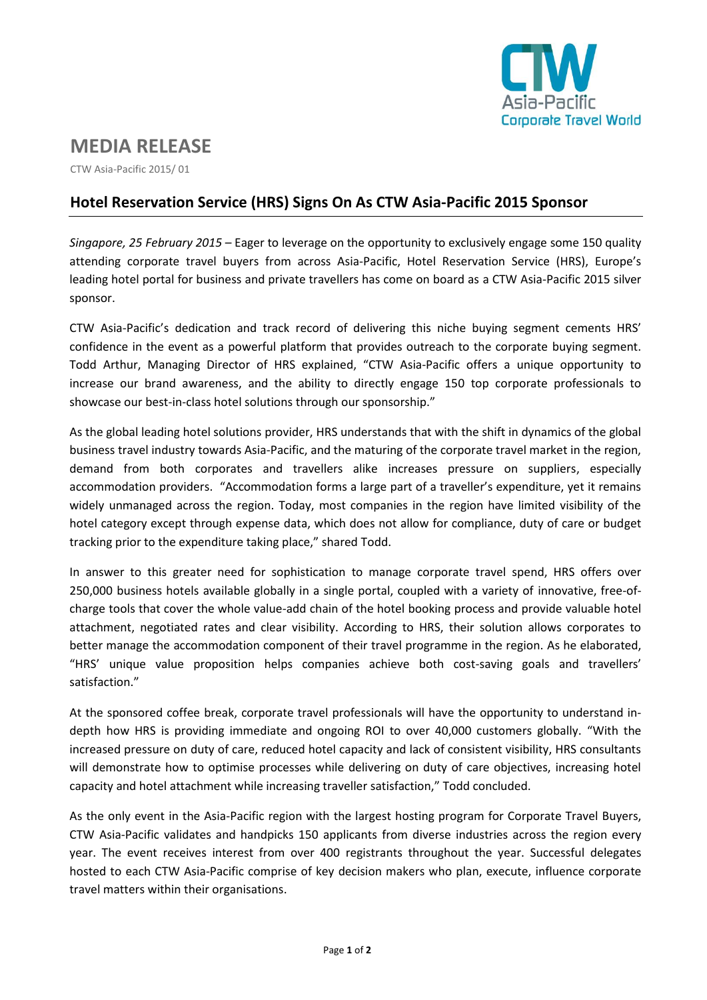

# **MEDIA RELEASE**

CTW Asia-Pacific 2015/ 01

## **Hotel Reservation Service (HRS) Signs On As CTW Asia-Pacific 2015 Sponsor**

*Singapore, 25 February 2015* – Eager to leverage on the opportunity to exclusively engage some 150 quality attending corporate travel buyers from across Asia-Pacific, Hotel Reservation Service (HRS), Europe's leading hotel portal for business and private travellers has come on board as a CTW Asia-Pacific 2015 silver sponsor.

CTW Asia-Pacific's dedication and track record of delivering this niche buying segment cements HRS' confidence in the event as a powerful platform that provides outreach to the corporate buying segment. Todd Arthur, Managing Director of HRS explained, "CTW Asia-Pacific offers a unique opportunity to increase our brand awareness, and the ability to directly engage 150 top corporate professionals to showcase our best-in-class hotel solutions through our sponsorship."

As the global leading hotel solutions provider, HRS understands that with the shift in dynamics of the global business travel industry towards Asia-Pacific, and the maturing of the corporate travel market in the region, demand from both corporates and travellers alike increases pressure on suppliers, especially accommodation providers. "Accommodation forms a large part of a traveller's expenditure, yet it remains widely unmanaged across the region. Today, most companies in the region have limited visibility of the hotel category except through expense data, which does not allow for compliance, duty of care or budget tracking prior to the expenditure taking place," shared Todd.

In answer to this greater need for sophistication to manage corporate travel spend, HRS offers over 250,000 business hotels available globally in a single portal, coupled with a variety of innovative, free-ofcharge tools that cover the whole value-add chain of the hotel booking process and provide valuable hotel attachment, negotiated rates and clear visibility. According to HRS, their solution allows corporates to better manage the accommodation component of their travel programme in the region. As he elaborated, "HRS' unique value proposition helps companies achieve both cost-saving goals and travellers' satisfaction."

At the sponsored coffee break, corporate travel professionals will have the opportunity to understand indepth how HRS is providing immediate and ongoing ROI to over 40,000 customers globally. "With the increased pressure on duty of care, reduced hotel capacity and lack of consistent visibility, HRS consultants will demonstrate how to optimise processes while delivering on duty of care objectives, increasing hotel capacity and hotel attachment while increasing traveller satisfaction," Todd concluded.

As the only event in the Asia-Pacific region with the largest hosting program for Corporate Travel Buyers, CTW Asia-Pacific validates and handpicks 150 applicants from diverse industries across the region every year. The event receives interest from over 400 registrants throughout the year. Successful delegates hosted to each CTW Asia-Pacific comprise of key decision makers who plan, execute, influence corporate travel matters within their organisations.